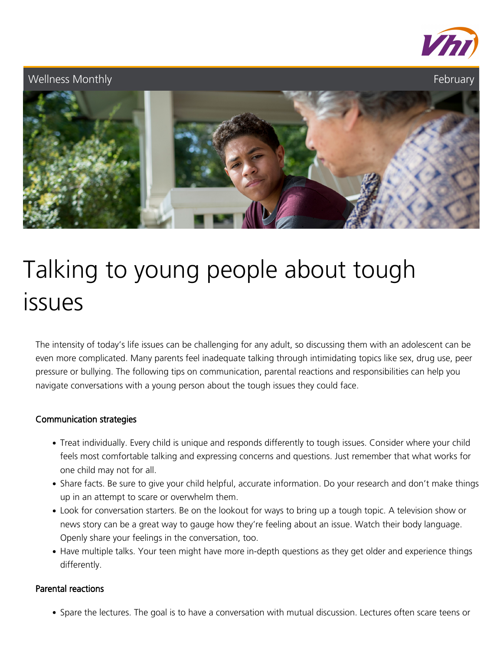



# Talking to young people about tough issues

The intensity of today's life issues can be challenging for any adult, so discussing them with an adolescent can be even more complicated. Many parents feel inadequate talking through intimidating topics like sex, drug use, peer pressure or bullying. The following tips on communication, parental reactions and responsibilities can help you navigate conversations with a young person about the tough issues they could face.

## Communication strategies

- Treat individually. Every child is unique and responds differently to tough issues. Consider where your child feels most comfortable talking and expressing concerns and questions. Just remember that what works for one child may not for all.
- Share facts. Be sure to give your child helpful, accurate information. Do your research and don't make things up in an attempt to scare or overwhelm them.
- Look for conversation starters. Be on the lookout for ways to bring up a tough topic. A television show or news story can be a great way to gauge how they're feeling about an issue. Watch their body language. Openly share your feelings in the conversation, too.
- Have multiple talks. Your teen might have more in-depth questions as they get older and experience things differently.

# Parental reactions

Spare the lectures. The goal is to have a conversation with mutual discussion. Lectures often scare teens or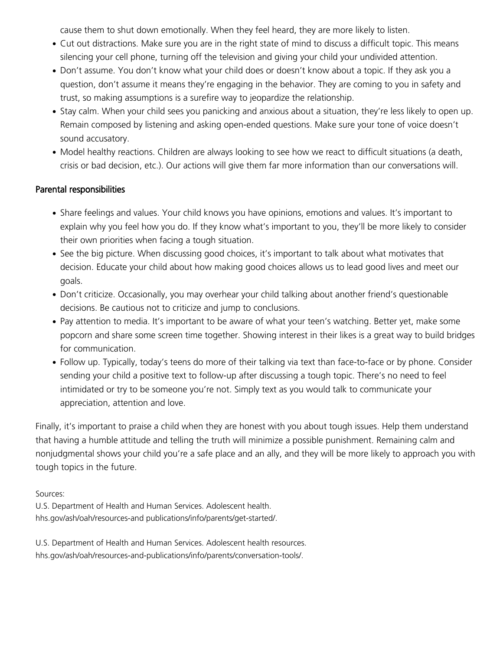cause them to shut down emotionally. When they feel heard, they are more likely to listen.

- Cut out distractions. Make sure you are in the right state of mind to discuss a difficult topic. This means silencing your cell phone, turning off the television and giving your child your undivided attention.
- Don't assume. You don't know what your child does or doesn't know about a topic. If they ask you a question, don't assume it means they're engaging in the behavior. They are coming to you in safety and trust, so making assumptions is a surefire way to jeopardize the relationship.
- Stay calm. When your child sees you panicking and anxious about a situation, they're less likely to open up. Remain composed by listening and asking open-ended questions. Make sure your tone of voice doesn't sound accusatory.
- Model healthy reactions. Children are always looking to see how we react to difficult situations (a death, crisis or bad decision, etc.). Our actions will give them far more information than our conversations will.

## Parental responsibilities

- Share feelings and values. Your child knows you have opinions, emotions and values. It's important to explain why you feel how you do. If they know what's important to you, they'll be more likely to consider their own priorities when facing a tough situation.
- See the big picture. When discussing good choices, it's important to talk about what motivates that decision. Educate your child about how making good choices allows us to lead good lives and meet our goals.
- Don't criticize. Occasionally, you may overhear your child talking about another friend's questionable decisions. Be cautious not to criticize and jump to conclusions.
- Pay attention to media. It's important to be aware of what your teen's watching. Better yet, make some popcorn and share some screen time together. Showing interest in their likes is a great way to build bridges for communication.
- Follow up. Typically, today's teens do more of their talking via text than face-to-face or by phone. Consider sending your child a positive text to follow-up after discussing a tough topic. There's no need to feel intimidated or try to be someone you're not. Simply text as you would talk to communicate your appreciation, attention and love.

Finally, it's important to praise a child when they are honest with you about tough issues. Help them understand that having a humble attitude and telling the truth will minimize a possible punishment. Remaining calm and nonjudgmental shows your child you're a safe place and an ally, and they will be more likely to approach you with tough topics in the future.

Sources:

U.S. Department of Health and Human Services. Adolescent health. hhs.gov/ash/oah/resources-and publications/info/parents/get-started/.

U.S. Department of Health and Human Services. Adolescent health resources. hhs.gov/ash/oah/resources-and-publications/info/parents/conversation-tools/.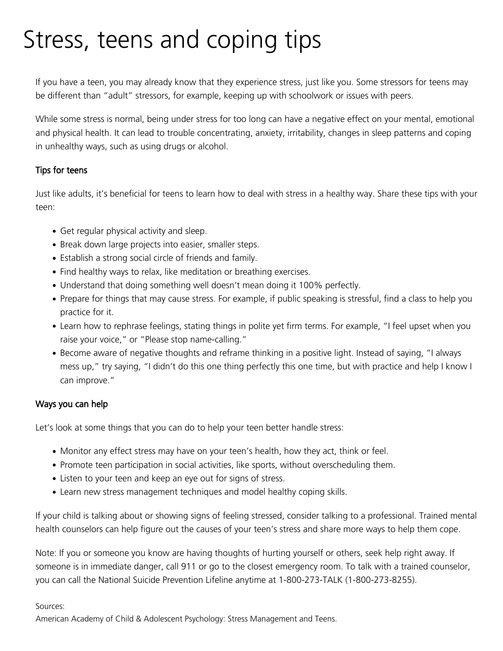# Stress, teens and coping tips

If you have a teen, you may already know that they experience stress, just like you. Some stressors for teens may be different than "adult" stressors, for example, keeping up with schoolwork or issues with peers.

While some stress is normal, being under stress for too long can have a negative effect on your mental, emotional and physical health. It can lead to trouble concentrating, anxiety, irritability, changes in sleep patterns and coping in unhealthy ways, such as using drugs or alcohol.

### Tips for teens

Just like adults, it's beneficial for teens to learn how to deal with stress in a healthy way. Share these tips with your teen:

- Get regular physical activity and sleep.
- Break down large projects into easier, smaller steps.
- Establish a strong social circle of friends and family.
- Find healthy ways to relax, like meditation or breathing exercises.
- Understand that doing something well doesn't mean doing it 100% perfectly.
- Prepare for things that may cause stress. For example, if public speaking is stressful, find a class to help you practice for it.
- Learn how to rephrase feelings, stating things in polite yet firm terms. For example, "I feel upset when you raise your voice," or "Please stop name-calling."
- Become aware of negative thoughts and reframe thinking in a positive light. Instead of saying, "I always mess up," try saying, "I didn't do this one thing perfectly this one time, but with practice and help I know I can improve."

## Ways you can help

Let's look at some things that you can do to help your teen better handle stress:

- Monitor any effect stress may have on your teen's health, how they act, think or feel.
- Promote teen participation in social activities, like sports, without overscheduling them.
- Listen to your teen and keep an eye out for signs of stress.
- Learn new stress management techniques and model healthy coping skills.

If your child is talking about or showing signs of feeling stressed, consider talking to a professional. Trained mental health counselors can help figure out the causes of your teen's stress and share more ways to help them cope.

Note: If you or someone you know are having thoughts of hurting yourself or others, seek help right away. If someone is in immediate danger, call 911 or go to the closest emergency room. To talk with a trained counselor, you can call the National Suicide Prevention Lifeline anytime at 1-800-273-TALK (1-800-273-8255).

Sources:

American Academy of Child & Adolescent Psychology: Stress Management and Teens.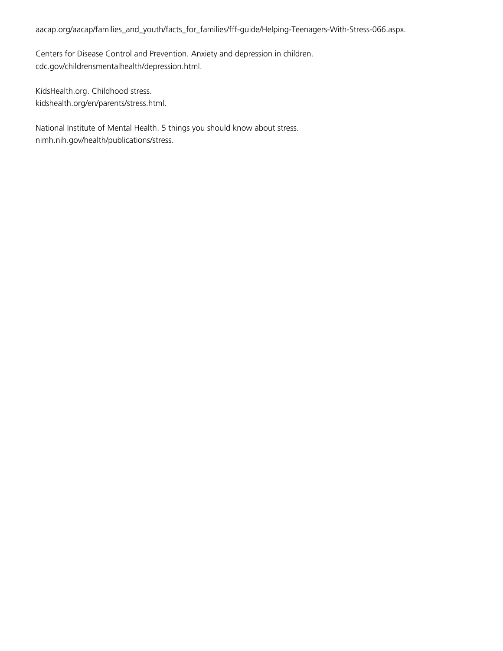aacap.org/aacap/families\_and\_youth/facts\_for\_families/fff-guide/Helping-Teenagers-With-Stress-066.aspx.

Centers for Disease Control and Prevention. Anxiety and depression in children. cdc.gov/childrensmentalhealth/depression.html.

KidsHealth.org. Childhood stress. kidshealth.org/en/parents/stress.html.

National Institute of Mental Health. 5 things you should know about stress. nimh.nih.gov/health/publications/stress.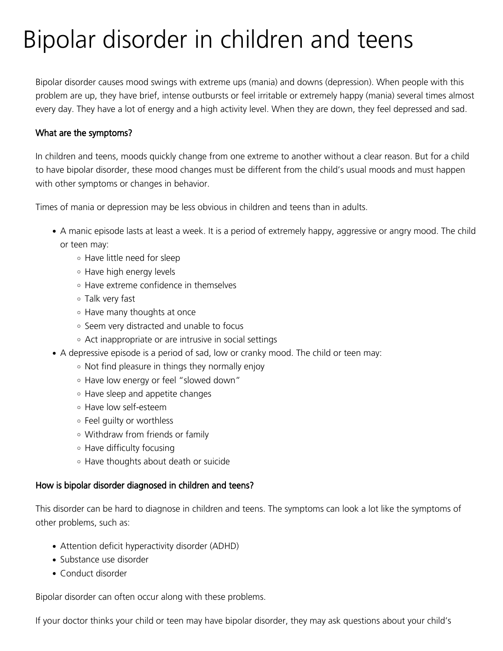# Bipolar disorder in children and teens

Bipolar disorder causes mood swings with extreme ups (mania) and downs (depression). When people with this problem are up, they have brief, intense outbursts or feel irritable or extremely happy (mania) several times almost every day. They have a lot of energy and a high activity level. When they are down, they feel depressed and sad.

#### What are the symptoms?

In children and teens, moods quickly change from one extreme to another without a clear reason. But for a child to have bipolar disorder, these mood changes must be different from the child's usual moods and must happen with other symptoms or changes in behavior.

Times of mania or depression may be less obvious in children and teens than in adults.

- A manic episode lasts at least a week. It is a period of extremely happy, aggressive or angry mood. The child or teen may:
	- Have little need for sleep
	- Have high energy levels
	- Have extreme confidence in themselves
	- Talk very fast
	- Have many thoughts at once
	- Seem very distracted and unable to focus
	- Act inappropriate or are intrusive in social settings
- A depressive episode is a period of sad, low or cranky mood. The child or teen may:
	- $\circ$  Not find pleasure in things they normally enjoy
	- Have low energy or feel "slowed down"
	- Have sleep and appetite changes
	- Have low self-esteem
	- Feel guilty or worthless
	- Withdraw from friends or family
	- Have difficulty focusing
	- Have thoughts about death or suicide

## How is bipolar disorder diagnosed in children and teens?

This disorder can be hard to diagnose in children and teens. The symptoms can look a lot like the symptoms of other problems, such as:

- Attention deficit hyperactivity disorder (ADHD)
- Substance use disorder
- Conduct disorder

Bipolar disorder can often occur along with these problems.

If your doctor thinks your child or teen may have bipolar disorder, they may ask questions about your child's